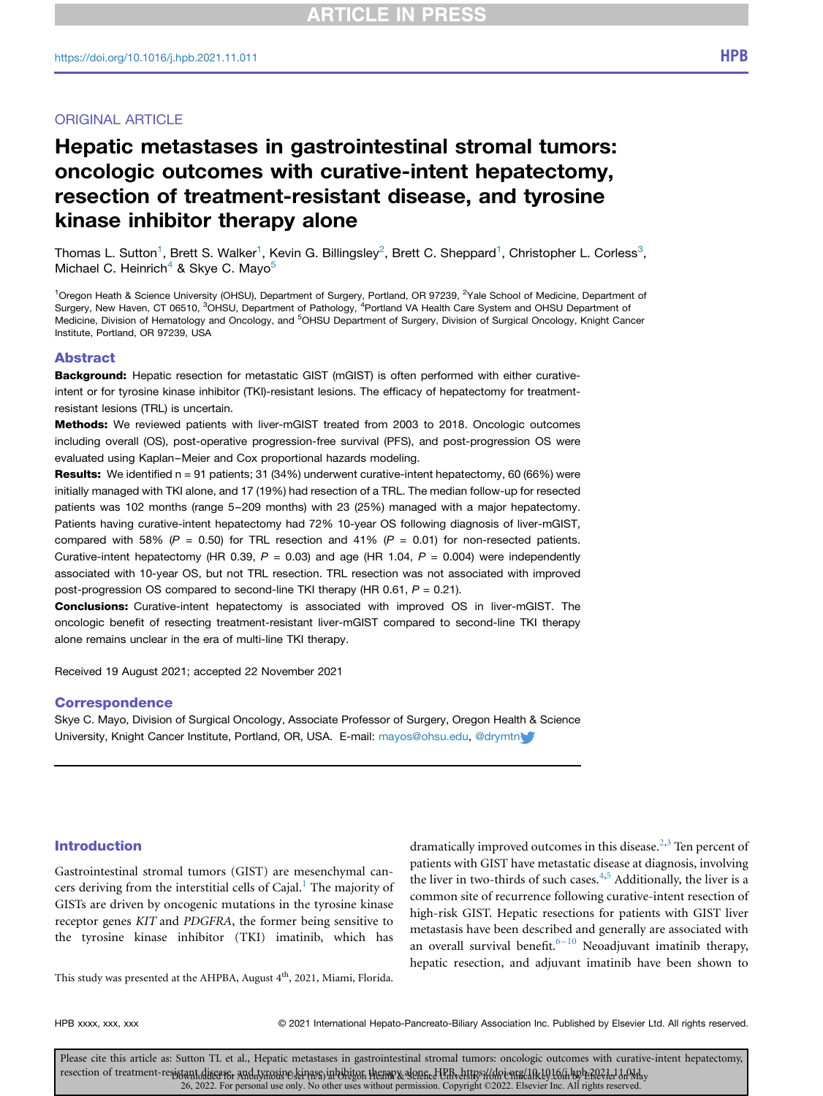## ORIGINAL ARTICLE

# Hepatic metastases in gastrointestinal stromal tumors: oncologic outcomes with curative-intent hepatectomy, resection of treatment-resistant disease, and tyrosine kinase inhibitor therapy alone

Thomas L. Sutton<sup>[1](#page-0-0)</sup>, Brett S. Walker<sup>1</sup>, Kevin G. Billingsley<sup>[2](#page-0-0)</sup>, Brett C. Sheppard<sup>1</sup>, Christopher L. Corless<sup>[3](#page-0-1)</sup>, Michael C. Heinrich<sup>[4](#page-0-1)</sup> & Skye C. Mayo<sup>5</sup>

<span id="page-0-2"></span><span id="page-0-1"></span><span id="page-0-0"></span><sup>1</sup>Oregon Heath & Science University (OHSU), Department of Surgery, Portland, OR 97239, <sup>2</sup>Yale School of Medicine, Department of Surgery, New Haven, CT 06510, <sup>3</sup>OHSU, Department of Pathology, <sup>4</sup>Portland VA Health Care System and OHSU Department of Medicine, Division of Hematology and Oncology, and <sup>5</sup>OHSU Department of Surgery, Division of Surgical Oncology, Knight Cancer Institute, Portland, OR 97239, USA

## Abstract

Background: Hepatic resection for metastatic GIST (mGIST) is often performed with either curativeintent or for tyrosine kinase inhibitor (TKI)-resistant lesions. The efficacy of hepatectomy for treatmentresistant lesions (TRL) is uncertain.

Methods: We reviewed patients with liver-mGIST treated from 2003 to 2018. Oncologic outcomes including overall (OS), post-operative progression-free survival (PFS), and post-progression OS were evaluated using Kaplan–Meier and Cox proportional hazards modeling.

**Results:** We identified  $n = 91$  patients; 31 (34%) underwent curative-intent hepatectomy, 60 (66%) were initially managed with TKI alone, and 17 (19%) had resection of a TRL. The median follow-up for resected patients was 102 months (range 5–209 months) with 23 (25%) managed with a major hepatectomy. Patients having curative-intent hepatectomy had 72% 10-year OS following diagnosis of liver-mGIST, compared with 58% ( $P = 0.50$ ) for TRL resection and 41% ( $P = 0.01$ ) for non-resected patients. Curative-intent hepatectomy (HR 0.39,  $P = 0.03$ ) and age (HR 1.04,  $P = 0.004$ ) were independently associated with 10-year OS, but not TRL resection. TRL resection was not associated with improved post-progression OS compared to second-line TKI therapy (HR 0.61,  $P = 0.21$ ).

Conclusions: Curative-intent hepatectomy is associated with improved OS in liver-mGIST. The oncologic benefit of resecting treatment-resistant liver-mGIST compared to second-line TKI therapy alone remains unclear in the era of multi-line TKI therapy.

Received 19 August 2021; accepted 22 November 2021

## **Correspondence**

Skye C. Mayo, Division of Surgical Oncology, Associate Professor of Surgery, Oregon Health & Science University, Knight Cancer Institute, Portland, OR, USA. E-mail: [mayos@ohsu.edu](mailto:mayos@ohsu.edu), [@drymtn](mailto:@drymtn<ce:inline-figure><ce:link locator=)

## Introduction

Gastrointestinal stromal tumors (GIST) are mesenchymal cancers deriving from the interstitial cells of Cajal. $<sup>1</sup>$  $<sup>1</sup>$  $<sup>1</sup>$  The majority of</sup> GISTs are driven by oncogenic mutations in the tyrosine kinase receptor genes KIT and PDGFRA, the former being sensitive to the tyrosine kinase inhibitor (TKI) imatinib, which has dramatically improved outcomes in this disease.<sup>[2,](#page-7-1)[3](#page-7-2)</sup> Ten percent of patients with GIST have metastatic disease at diagnosis, involving the liver in two-thirds of such cases. $4,5$  $4,5$  $4,5$  Additionally, the liver is a common site of recurrence following curative-intent resection of high-risk GIST. Hepatic resections for patients with GIST liver metastasis have been described and generally are associated with an overall survival benefit.<sup> $6-10$  $6-10$ </sup> Neoadjuvant imatinib therapy, hepatic resection, and adjuvant imatinib have been shown to

This study was presented at the AHPBA, August 4<sup>th</sup>, 2021, Miami, Florida.

HPB xxxx, xxx, xxx entitled that the 2021 International Hepato-Pancreato-Biliary Association Inc. Published by Elsevier Ltd. All rights reserved.

Please cite this article as: Sutton TL et al., Hepatic metastases in gastrointestinal stromal tumors: oncologic outcomes with curative-intent hepatectomy, resection of treatment-resistant diseaser and tynosive seivase in bibiton themar & denene tell of the district in public enracted be being by befolded on the 26, 2022. For personal use only. No other uses without permission. Copyright ©2022. Elsevier Inc. All rights reserved.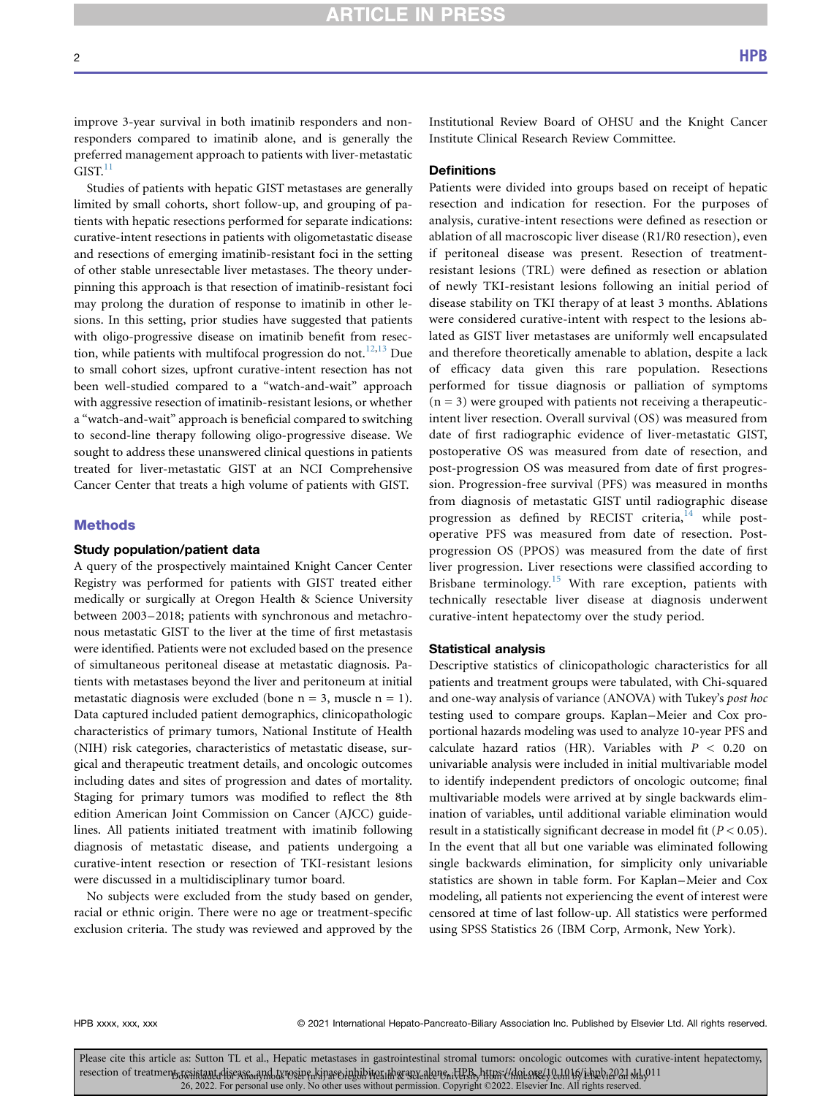improve 3-year survival in both imatinib responders and nonresponders compared to imatinib alone, and is generally the preferred management approach to patients with liver-metastatic  $GIST.<sup>11</sup>$  $GIST.<sup>11</sup>$  $GIST.<sup>11</sup>$ 

Studies of patients with hepatic GIST metastases are generally limited by small cohorts, short follow-up, and grouping of patients with hepatic resections performed for separate indications: curative-intent resections in patients with oligometastatic disease and resections of emerging imatinib-resistant foci in the setting of other stable unresectable liver metastases. The theory underpinning this approach is that resection of imatinib-resistant foci may prolong the duration of response to imatinib in other lesions. In this setting, prior studies have suggested that patients with oligo-progressive disease on imatinib benefit from resec-tion, while patients with multifocal progression do not.<sup>[12,](#page-7-7)[13](#page-7-8)</sup> Due to small cohort sizes, upfront curative-intent resection has not been well-studied compared to a "watch-and-wait" approach with aggressive resection of imatinib-resistant lesions, or whether a "watch-and-wait" approach is beneficial compared to switching to second-line therapy following oligo-progressive disease. We sought to address these unanswered clinical questions in patients treated for liver-metastatic GIST at an NCI Comprehensive Cancer Center that treats a high volume of patients with GIST.

#### Methods

## Study population/patient data

A query of the prospectively maintained Knight Cancer Center Registry was performed for patients with GIST treated either medically or surgically at Oregon Health & Science University between 2003–2018; patients with synchronous and metachronous metastatic GIST to the liver at the time of first metastasis were identified. Patients were not excluded based on the presence of simultaneous peritoneal disease at metastatic diagnosis. Patients with metastases beyond the liver and peritoneum at initial metastatic diagnosis were excluded (bone  $n = 3$ , muscle  $n = 1$ ). Data captured included patient demographics, clinicopathologic characteristics of primary tumors, National Institute of Health (NIH) risk categories, characteristics of metastatic disease, surgical and therapeutic treatment details, and oncologic outcomes including dates and sites of progression and dates of mortality. Staging for primary tumors was modified to reflect the 8th edition American Joint Commission on Cancer (AJCC) guidelines. All patients initiated treatment with imatinib following diagnosis of metastatic disease, and patients undergoing a curative-intent resection or resection of TKI-resistant lesions were discussed in a multidisciplinary tumor board.

No subjects were excluded from the study based on gender, racial or ethnic origin. There were no age or treatment-specific exclusion criteria. The study was reviewed and approved by the

Institutional Review Board of OHSU and the Knight Cancer Institute Clinical Research Review Committee.

#### **Definitions**

Patients were divided into groups based on receipt of hepatic resection and indication for resection. For the purposes of analysis, curative-intent resections were defined as resection or ablation of all macroscopic liver disease (R1/R0 resection), even if peritoneal disease was present. Resection of treatmentresistant lesions (TRL) were defined as resection or ablation of newly TKI-resistant lesions following an initial period of disease stability on TKI therapy of at least 3 months. Ablations were considered curative-intent with respect to the lesions ablated as GIST liver metastases are uniformly well encapsulated and therefore theoretically amenable to ablation, despite a lack of efficacy data given this rare population. Resections performed for tissue diagnosis or palliation of symptoms  $(n = 3)$  were grouped with patients not receiving a therapeuticintent liver resection. Overall survival (OS) was measured from date of first radiographic evidence of liver-metastatic GIST, postoperative OS was measured from date of resection, and post-progression OS was measured from date of first progression. Progression-free survival (PFS) was measured in months from diagnosis of metastatic GIST until radiographic disease progression as defined by RECIST criteria,<sup>[14](#page-7-9)</sup> while postoperative PFS was measured from date of resection. Postprogression OS (PPOS) was measured from the date of first liver progression. Liver resections were classified according to Brisbane terminology.<sup>[15](#page-7-10)</sup> With rare exception, patients with technically resectable liver disease at diagnosis underwent curative-intent hepatectomy over the study period.

#### Statistical analysis

Descriptive statistics of clinicopathologic characteristics for all patients and treatment groups were tabulated, with Chi-squared and one-way analysis of variance (ANOVA) with Tukey's post hoc testing used to compare groups. Kaplan–Meier and Cox proportional hazards modeling was used to analyze 10-year PFS and calculate hazard ratios (HR). Variables with  $P < 0.20$  on univariable analysis were included in initial multivariable model to identify independent predictors of oncologic outcome; final multivariable models were arrived at by single backwards elimination of variables, until additional variable elimination would result in a statistically significant decrease in model fit ( $P < 0.05$ ). In the event that all but one variable was eliminated following single backwards elimination, for simplicity only univariable statistics are shown in table form. For Kaplan–Meier and Cox modeling, all patients not experiencing the event of interest were censored at time of last follow-up. All statistics were performed using SPSS Statistics 26 (IBM Corp, Armonk, New York).

HPB xxxx, xxx, xxx entitly and the 2021 International Hepato-Pancreato-Biliary Association Inc. Published by Elsevier Ltd. All rights reserved.

Please cite this article as: Sutton TL et al., Hepatic metastases in gastrointestinal stromal tumors: oncologic outcomes with curative-intent hepatectomy, resection of treatment resintant disease and twosire binare jubilities at the succeders in the section of treatment of intervals. Old 26, 2022. For personal use only. No other uses without permission. Copyright ©2022. Elsevier Inc. All rights reserved.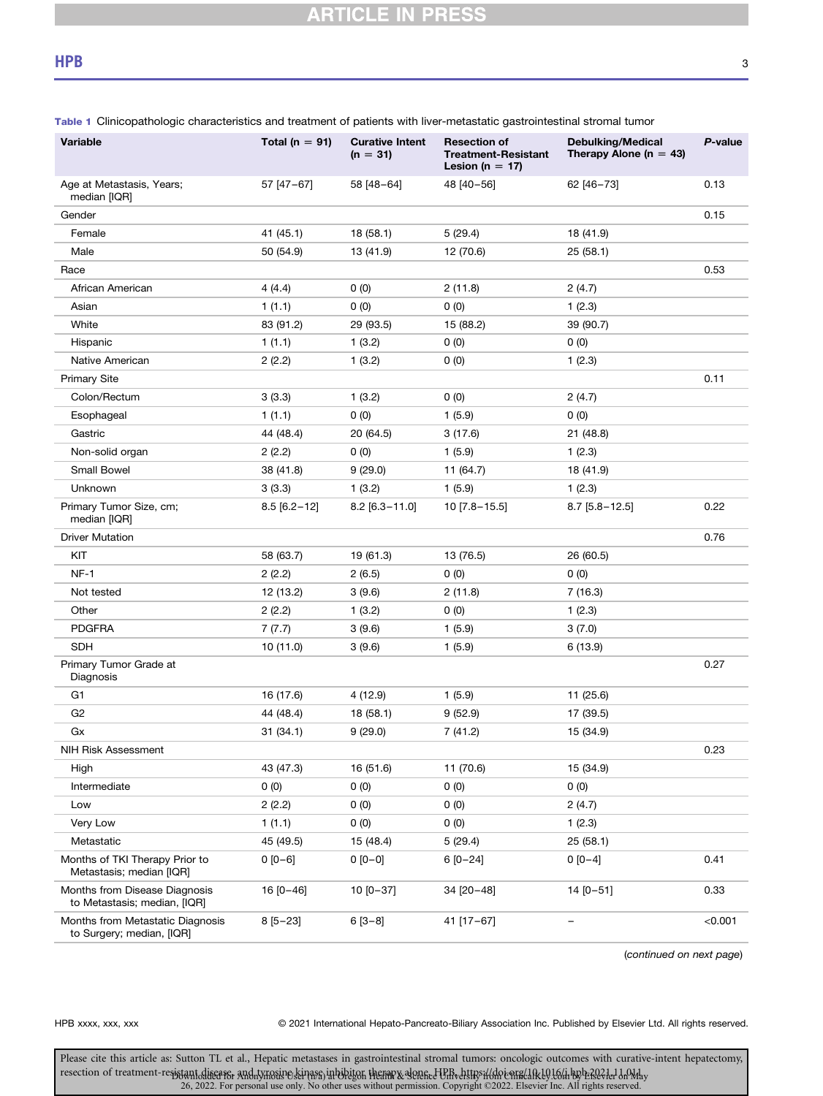| Variable                                                      | Total ( $n = 91$ ) | <b>Curative Intent</b><br>$(n = 31)$ | <b>Resection of</b><br><b>Treatment-Resistant</b><br>Lesion ( $n = 17$ ) | <b>Debulking/Medical</b><br>Therapy Alone ( $n = 43$ ) | P-value |
|---------------------------------------------------------------|--------------------|--------------------------------------|--------------------------------------------------------------------------|--------------------------------------------------------|---------|
| Age at Metastasis, Years;<br>median [IQR]                     | 57 [47-67]         | 58 [48-64]                           | 48 [40-56]                                                               | 62 [46-73]                                             | 0.13    |
| Gender                                                        |                    |                                      |                                                                          |                                                        | 0.15    |
| Female                                                        | 41 (45.1)          | 18 (58.1)                            | 5(29.4)                                                                  | 18 (41.9)                                              |         |
| Male                                                          | 50 (54.9)          | 13 (41.9)                            | 12 (70.6)                                                                | 25(58.1)                                               |         |
| Race                                                          |                    |                                      |                                                                          |                                                        | 0.53    |
| African American                                              | 4(4.4)             | 0(0)                                 | 2(11.8)                                                                  | 2(4.7)                                                 |         |
| Asian                                                         | 1(1.1)             | 0(0)                                 | 0(0)                                                                     | 1(2.3)                                                 |         |
| White                                                         | 83 (91.2)          | 29 (93.5)                            | 15 (88.2)                                                                | 39 (90.7)                                              |         |
| Hispanic                                                      | 1(1.1)             | 1(3.2)                               | 0(0)                                                                     | 0(0)                                                   |         |
| Native American                                               | 2(2.2)             | 1(3.2)                               | 0(0)                                                                     | 1(2.3)                                                 |         |
| <b>Primary Site</b>                                           |                    |                                      |                                                                          |                                                        | 0.11    |
| Colon/Rectum                                                  | 3(3.3)             | 1(3.2)                               | 0(0)                                                                     | 2(4.7)                                                 |         |
| Esophageal                                                    | 1(1.1)             | 0(0)                                 | 1(5.9)                                                                   | 0(0)                                                   |         |
| Gastric                                                       | 44 (48.4)          | 20 (64.5)                            | 3(17.6)                                                                  | 21 (48.8)                                              |         |
| Non-solid organ                                               | 2(2.2)             | 0(0)                                 | 1(5.9)                                                                   | 1(2.3)                                                 |         |
| <b>Small Bowel</b>                                            | 38 (41.8)          | 9(29.0)                              | 11 (64.7)                                                                | 18 (41.9)                                              |         |
| Unknown                                                       | 3(3.3)             | 1(3.2)                               | 1(5.9)                                                                   | 1(2.3)                                                 |         |
| Primary Tumor Size, cm;<br>median [IQR]                       | $8.5$ [6.2-12]     | $8.2$ [6.3-11.0]                     | 10 [7.8-15.5]                                                            | $8.7$ [5.8 - 12.5]                                     | 0.22    |
| <b>Driver Mutation</b>                                        |                    |                                      |                                                                          |                                                        | 0.76    |
| KIT                                                           | 58 (63.7)          | 19 (61.3)                            | 13 (76.5)                                                                | 26 (60.5)                                              |         |
| $NF-1$                                                        | 2(2.2)             | 2(6.5)                               | 0(0)                                                                     | 0(0)                                                   |         |
| Not tested                                                    | 12 (13.2)          | 3(9.6)                               | 2(11.8)                                                                  | 7(16.3)                                                |         |
| Other                                                         | 2(2.2)             | 1(3.2)                               | 0(0)                                                                     | 1(2.3)                                                 |         |
| <b>PDGFRA</b>                                                 | 7(7.7)             | 3(9.6)                               | 1(5.9)                                                                   | 3(7.0)                                                 |         |
| <b>SDH</b>                                                    | 10 (11.0)          | 3(9.6)                               | 1(5.9)                                                                   | 6 (13.9)                                               |         |
| Primary Tumor Grade at<br>Diagnosis                           |                    |                                      |                                                                          |                                                        | 0.27    |
| G1                                                            | 16 (17.6)          | 4(12.9)                              | 1(5.9)                                                                   | 11 (25.6)                                              |         |
| G2                                                            | 44 (48.4)          | 18 (58.1)                            | 9(52.9)                                                                  | 17 (39.5)                                              |         |
| Gx                                                            | 31(34.1)           | 9(29.0)                              | 7 (41.2)                                                                 | 15 (34.9)                                              |         |
| <b>NIH Risk Assessment</b>                                    |                    |                                      |                                                                          |                                                        | 0.23    |
| High                                                          | 43 (47.3)          | 16 (51.6)                            | 11 (70.6)                                                                | 15 (34.9)                                              |         |
| Intermediate                                                  | 0(0)               | 0(0)                                 | 0(0)                                                                     | 0(0)                                                   |         |
| Low                                                           | 2(2.2)             | 0(0)                                 | 0(0)                                                                     | 2(4.7)                                                 |         |
| Very Low                                                      | 1(1.1)             | 0(0)                                 | 0(0)                                                                     | 1(2.3)                                                 |         |
| Metastatic                                                    | 45 (49.5)          | 15 (48.4)                            | 5(29.4)                                                                  | 25(58.1)                                               |         |
| Months of TKI Therapy Prior to<br>Metastasis; median [IQR]    | $0 [0 - 6]$        | $0 [0 - 0]$                          | $6 [0 - 24]$                                                             | $0 [0-4]$                                              | 0.41    |
| Months from Disease Diagnosis<br>to Metastasis; median, [IQR] | $16 [0 - 46]$      | $10 [0 - 37]$                        | 34 [20-48]                                                               | $14 [0 - 51]$                                          | 0.33    |
| Months from Metastatic Diagnosis<br>to Surgery; median, [IQR] | $8[5-23]$          | $6[3-8]$                             | 41 [17-67]                                                               | —                                                      | < 0.001 |

<span id="page-2-0"></span>Table 1 Clinicopathologic characteristics and treatment of patients with liver-metastatic gastrointestinal stromal tumor

(continued on next page)

HPB xxxx, xxx, xxx 
<br>
© 2021 International Hepato-Pancreato-Biliary Association Inc. Published by Elsevier Ltd. All rights reserved.

Please cite this article as: Sutton TL et al., Hepatic metastases in gastrointestinal stromal tumors: oncologic outcomes with curative-intent hepatectomy, resection of treatment-re<del>splant diseaser</del> and tymoring senarcy in biblion. Hearing a general that we had the ph<br>26, 2022. For personal use only. No other uses without permission. Copyright ©2022. Elsevier Inc. All rights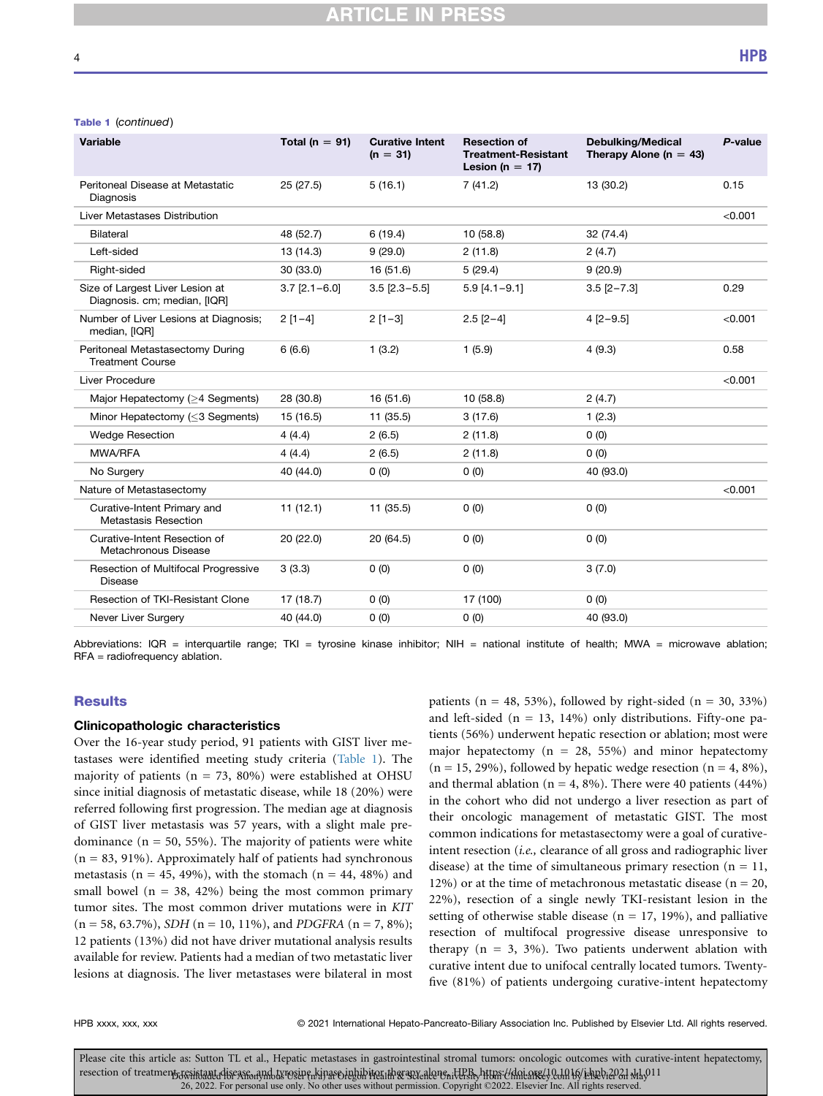#### Table 1 (continued)

| <b>Variable</b>                                                 | Total ( $n = 91$ ) | <b>Curative Intent</b><br>$(n = 31)$ | <b>Resection of</b><br><b>Treatment-Resistant</b><br>Lesion (n = 17) | <b>Debulking/Medical</b><br>Therapy Alone ( $n = 43$ ) | P-value |
|-----------------------------------------------------------------|--------------------|--------------------------------------|----------------------------------------------------------------------|--------------------------------------------------------|---------|
| Peritoneal Disease at Metastatic<br>Diagnosis                   | 25(27.5)           | 5(16.1)                              | 7(41.2)                                                              | 13 (30.2)                                              | 0.15    |
| Liver Metastases Distribution                                   |                    |                                      |                                                                      |                                                        | < 0.001 |
| Bilateral                                                       | 48 (52.7)          | 6(19.4)                              | 10(58.8)                                                             | 32 (74.4)                                              |         |
| Left-sided                                                      | 13 (14.3)          | 9(29.0)                              | 2(11.8)                                                              | 2(4.7)                                                 |         |
| Right-sided                                                     | 30 (33.0)          | 16 (51.6)                            | 5(29.4)                                                              | 9(20.9)                                                |         |
| Size of Largest Liver Lesion at<br>Diagnosis. cm; median, [IQR] | $3.7$ [2.1-6.0]    | $3.5$ [2.3-5.5]                      | $5.9$ [4.1-9.1]                                                      | $3.5$ [2-7.3]                                          | 0.29    |
| Number of Liver Lesions at Diagnosis;<br>median, [IQR]          | $2[1-4]$           | $2[1-3]$                             | $2.5$ [2-4]                                                          | $4$ [2-9.5]                                            | < 0.001 |
| Peritoneal Metastasectomy During<br><b>Treatment Course</b>     | 6(6.6)             | 1(3.2)                               | 1(5.9)                                                               | 4(9.3)                                                 | 0.58    |
| Liver Procedure                                                 |                    |                                      |                                                                      |                                                        | < 0.001 |
| Major Hepatectomy (>4 Segments)                                 | 28 (30.8)          | 16 (51.6)                            | 10 (58.8)                                                            | 2(4.7)                                                 |         |
| Minor Hepatectomy (<3 Segments)                                 | 15 (16.5)          | 11 (35.5)                            | 3(17.6)                                                              | 1(2.3)                                                 |         |
| <b>Wedge Resection</b>                                          | 4(4.4)             | 2(6.5)                               | 2(11.8)                                                              | 0(0)                                                   |         |
| MWA/RFA                                                         | 4(4.4)             | 2(6.5)                               | 2(11.8)                                                              | 0(0)                                                   |         |
| No Surgery                                                      | 40 (44.0)          | 0(0)                                 | 0(0)                                                                 | 40 (93.0)                                              |         |
| Nature of Metastasectomy                                        |                    |                                      |                                                                      |                                                        | < 0.001 |
| Curative-Intent Primary and<br>Metastasis Resection             | 11(12.1)           | 11(35.5)                             | 0(0)                                                                 | 0(0)                                                   |         |
| Curative-Intent Resection of<br>Metachronous Disease            | 20 (22.0)          | 20 (64.5)                            | 0(0)                                                                 | 0(0)                                                   |         |
| Resection of Multifocal Progressive<br>Disease                  | 3(3.3)             | 0(0)                                 | 0(0)                                                                 | 3(7.0)                                                 |         |
| Resection of TKI-Resistant Clone                                | 17 (18.7)          | 0(0)                                 | 17 (100)                                                             | 0(0)                                                   |         |
| Never Liver Surgery                                             | 40 (44.0)          | 0(0)                                 | 0(0)                                                                 | 40 (93.0)                                              |         |
|                                                                 |                    |                                      |                                                                      |                                                        |         |

Abbreviations: IQR = interquartile range; TKI = tyrosine kinase inhibitor; NIH = national institute of health; MWA = microwave ablation; RFA = radiofrequency ablation.

## **Results**

#### Clinicopathologic characteristics

Over the 16-year study period, 91 patients with GIST liver metastases were identified meeting study criteria [\(Table 1](#page-2-0)). The majority of patients ( $n = 73$ , 80%) were established at OHSU since initial diagnosis of metastatic disease, while 18 (20%) were referred following first progression. The median age at diagnosis of GIST liver metastasis was 57 years, with a slight male predominance  $(n = 50, 55\%)$ . The majority of patients were white  $(n = 83, 91\%)$ . Approximately half of patients had synchronous metastasis ( $n = 45$ , 49%), with the stomach ( $n = 44$ , 48%) and small bowel ( $n = 38, 42\%$ ) being the most common primary tumor sites. The most common driver mutations were in KIT  $(n = 58, 63.7\%)$ , SDH  $(n = 10, 11\%)$ , and PDGFRA  $(n = 7, 8\%)$ ; 12 patients (13%) did not have driver mutational analysis results available for review. Patients had a median of two metastatic liver lesions at diagnosis. The liver metastases were bilateral in most

patients ( $n = 48$ , 53%), followed by right-sided ( $n = 30$ , 33%) and left-sided ( $n = 13$ , 14%) only distributions. Fifty-one patients (56%) underwent hepatic resection or ablation; most were major hepatectomy ( $n = 28$ , 55%) and minor hepatectomy  $(n = 15, 29\%)$ , followed by hepatic wedge resection  $(n = 4, 8\%)$ , and thermal ablation ( $n = 4$ , 8%). There were 40 patients (44%) in the cohort who did not undergo a liver resection as part of their oncologic management of metastatic GIST. The most common indications for metastasectomy were a goal of curativeintent resection *(i.e., clearance of all gross and radiographic liver* disease) at the time of simultaneous primary resection ( $n = 11$ , 12%) or at the time of metachronous metastatic disease ( $n = 20$ , 22%), resection of a single newly TKI-resistant lesion in the setting of otherwise stable disease ( $n = 17$ , 19%), and palliative resection of multifocal progressive disease unresponsive to therapy  $(n = 3, 3\%)$ . Two patients underwent ablation with curative intent due to unifocal centrally located tumors. Twentyfive (81%) of patients undergoing curative-intent hepatectomy

HPB xxxx, xxx, xxx 
where  $\degree$  2021 International Hepato-Pancreato-Biliary Association Inc. Published by Elsevier Ltd. All rights reserved.

Please cite this article as: Sutton TL et al., Hepatic metastases in gastrointestinal stromal tumors: oncologic outcomes with curative-intent hepatectomy, resection of treatment resintant disease and twosire binare jubilities at the succeders in the section of treatment of intervals. Old 26, 2022. For personal use only. No other uses without permission. Copyright ©2022. Elsevier Inc. All rights reserved.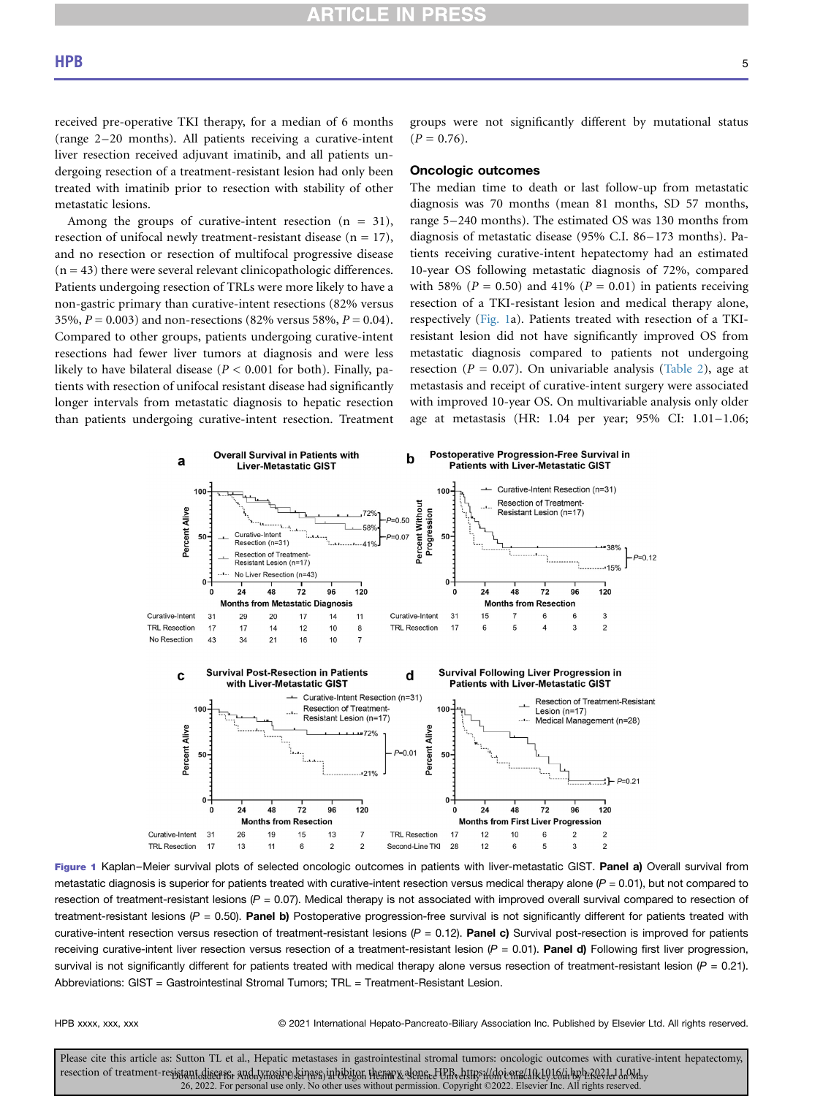received pre-operative TKI therapy, for a median of 6 months (range 2–20 months). All patients receiving a curative-intent liver resection received adjuvant imatinib, and all patients undergoing resection of a treatment-resistant lesion had only been treated with imatinib prior to resection with stability of other metastatic lesions.

Among the groups of curative-intent resection  $(n = 31)$ , resection of unifocal newly treatment-resistant disease  $(n = 17)$ , and no resection or resection of multifocal progressive disease  $(n = 43)$  there were several relevant clinicopathologic differences. Patients undergoing resection of TRLs were more likely to have a non-gastric primary than curative-intent resections (82% versus 35%,  $P = 0.003$ ) and non-resections (82% versus 58%,  $P = 0.04$ ). Compared to other groups, patients undergoing curative-intent resections had fewer liver tumors at diagnosis and were less likely to have bilateral disease ( $P < 0.001$  for both). Finally, patients with resection of unifocal resistant disease had significantly longer intervals from metastatic diagnosis to hepatic resection than patients undergoing curative-intent resection. Treatment

groups were not significantly different by mutational status  $(P = 0.76)$ .

#### Oncologic outcomes

The median time to death or last follow-up from metastatic diagnosis was 70 months (mean 81 months, SD 57 months, range 5–240 months). The estimated OS was 130 months from diagnosis of metastatic disease (95% C.I. 86–173 months). Patients receiving curative-intent hepatectomy had an estimated 10-year OS following metastatic diagnosis of 72%, compared with 58% ( $P = 0.50$ ) and 41% ( $P = 0.01$ ) in patients receiving resection of a TKI-resistant lesion and medical therapy alone, respectively ([Fig. 1a](#page-4-0)). Patients treated with resection of a TKIresistant lesion did not have significantly improved OS from metastatic diagnosis compared to patients not undergoing resection ( $P = 0.07$ ). On univariable analysis ([Table 2](#page-5-0)), age at metastasis and receipt of curative-intent surgery were associated with improved 10-year OS. On multivariable analysis only older age at metastasis (HR: 1.04 per year; 95% CI: 1.01–1.06;

<span id="page-4-0"></span>

Figure 1 Kaplan–Meier survival plots of selected oncologic outcomes in patients with liver-metastatic GIST. Panel a) Overall survival from metastatic diagnosis is superior for patients treated with curative-intent resection versus medical therapy alone  $(P = 0.01)$ , but not compared to resection of treatment-resistant lesions  $(P = 0.07)$ . Medical therapy is not associated with improved overall survival compared to resection of treatment-resistant lesions ( $P = 0.50$ ). Panel b) Postoperative progression-free survival is not significantly different for patients treated with curative-intent resection versus resection of treatment-resistant lesions ( $P = 0.12$ ). Panel c) Survival post-resection is improved for patients receiving curative-intent liver resection versus resection of a treatment-resistant lesion  $(P = 0.01)$ . Panel d) Following first liver progression, survival is not significantly different for patients treated with medical therapy alone versus resection of treatment-resistant lesion ( $P = 0.21$ ). Abbreviations: GIST = Gastrointestinal Stromal Tumors; TRL = Treatment-Resistant Lesion.

HPB xxxx, xxx, xxx entitled that the 2021 International Hepato-Pancreato-Biliary Association Inc. Published by Elsevier Ltd. All rights reserved.

Please cite this article as: Sutton TL et al., Hepatic metastases in gastrointestinal stromal tumors: oncologic outcomes with curative-intent hepatectomy, resection of treatment-resistant,disears, and tynosine servass inhibitor, thenarx elemed Uffedtstradd (do enrach Rel) to inhybra of day have 26, 2022. For personal use only. No other uses without permission. Copyright ©2022. Elsevier Inc. All rights reserved.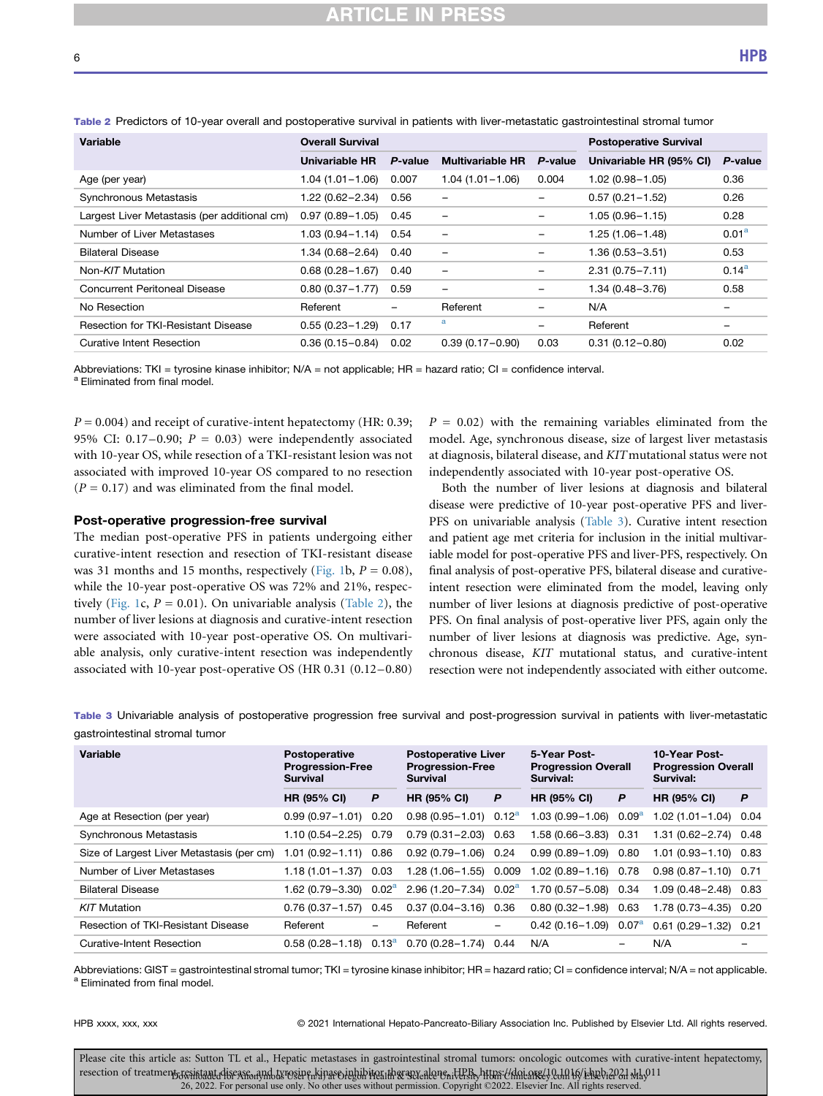| Variable                                     | <b>Overall Survival</b> |                          | <b>Postoperative Survival</b> |                          |                         |                          |
|----------------------------------------------|-------------------------|--------------------------|-------------------------------|--------------------------|-------------------------|--------------------------|
|                                              | Univariable HR          | P-value                  | <b>Multivariable HR</b>       | P-value                  | Univariable HR (95% CI) | P-value                  |
| Age (per year)                               | $1.04(1.01 - 1.06)$     | 0.007                    | $1.04(1.01 - 1.06)$           | 0.004                    | $1.02(0.98 - 1.05)$     | 0.36                     |
| Synchronous Metastasis                       | $1.22(0.62 - 2.34)$     | 0.56                     |                               |                          | $0.57(0.21 - 1.52)$     | 0.26                     |
| Largest Liver Metastasis (per additional cm) | $0.97(0.89 - 1.05)$     | 0.45                     | -                             |                          | $1.05(0.96 - 1.15)$     | 0.28                     |
| Number of Liver Metastases                   | $1.03(0.94 - 1.14)$     | 0.54                     | -                             |                          | $1.25(1.06 - 1.48)$     | 0.01 <sup>a</sup>        |
| <b>Bilateral Disease</b>                     | $1.34(0.68 - 2.64)$     | 0.40                     | -                             | $\qquad \qquad$          | $1.36(0.53 - 3.51)$     | 0.53                     |
| Non-KIT Mutation                             | $0.68(0.28 - 1.67)$     | 0.40                     | -                             | $\overline{\phantom{m}}$ | $2.31(0.75 - 7.11)$     | $0.14^{\rm a}$           |
| Concurrent Peritoneal Disease                | $0.80(0.37 - 1.77)$     | 0.59                     | -                             | -                        | $1.34(0.48 - 3.76)$     | 0.58                     |
| No Resection                                 | Referent                | $\overline{\phantom{m}}$ | Referent                      |                          | N/A                     | $\overline{\phantom{m}}$ |
| Resection for TKI-Resistant Disease          | $0.55(0.23 - 1.29)$     | 0.17                     | a                             | $\qquad \qquad -$        | Referent                | $\overline{\phantom{m}}$ |
| Curative Intent Resection                    | $0.36(0.15 - 0.84)$     | 0.02                     | $0.39(0.17 - 0.90)$           | 0.03                     | $0.31(0.12 - 0.80)$     | 0.02                     |

<span id="page-5-0"></span>Table 2 Predictors of 10-year overall and postoperative survival in patients with liver-metastatic gastrointestinal stromal tumor

<span id="page-5-2"></span>Abbreviations: TKI = tyrosine kinase inhibitor; N/A = not applicable; HR = hazard ratio; CI = confidence interval.<br><sup>a</sup> Eliminated from final model.

 $P = 0.004$ ) and receipt of curative-intent hepatectomy (HR: 0.39; 95% CI: 0.17–0.90;  $P = 0.03$ ) were independently associated with 10-year OS, while resection of a TKI-resistant lesion was not associated with improved 10-year OS compared to no resection  $(P = 0.17)$  and was eliminated from the final model.

#### Post-operative progression-free survival

The median post-operative PFS in patients undergoing either curative-intent resection and resection of TKI-resistant disease was 31 months and 15 months, respectively [\(Fig. 1](#page-4-0)b,  $P = 0.08$ ), while the 10-year post-operative OS was 72% and 21%, respec-tively [\(Fig. 1c](#page-4-0),  $P = 0.01$ ). On univariable analysis ([Table 2\)](#page-5-0), the number of liver lesions at diagnosis and curative-intent resection were associated with 10-year post-operative OS. On multivariable analysis, only curative-intent resection was independently associated with 10-year post-operative OS (HR 0.31 (0.12–0.80)

 $P = 0.02$ ) with the remaining variables eliminated from the model. Age, synchronous disease, size of largest liver metastasis at diagnosis, bilateral disease, and KITmutational status were not independently associated with 10-year post-operative OS.

Both the number of liver lesions at diagnosis and bilateral disease were predictive of 10-year post-operative PFS and liver-PFS on univariable analysis [\(Table 3\)](#page-5-1). Curative intent resection and patient age met criteria for inclusion in the initial multivariable model for post-operative PFS and liver-PFS, respectively. On final analysis of post-operative PFS, bilateral disease and curativeintent resection were eliminated from the model, leaving only number of liver lesions at diagnosis predictive of post-operative PFS. On final analysis of post-operative liver PFS, again only the number of liver lesions at diagnosis was predictive. Age, synchronous disease, KIT mutational status, and curative-intent resection were not independently associated with either outcome.

<span id="page-5-1"></span>Table 3 Univariable analysis of postoperative progression free survival and post-progression survival in patients with liver-metastatic gastrointestinal stromal tumor

| Variable                                  | <b>Postoperative</b><br><b>Progression-Free</b><br><b>Survival</b> |                          | <b>Postoperative Liver</b><br><b>Progression-Free</b><br><b>Survival</b> |                   | 5-Year Post-<br><b>Progression Overall</b><br>Survival: |                   | 10-Year Post-<br><b>Progression Overall</b><br>Survival: |   |
|-------------------------------------------|--------------------------------------------------------------------|--------------------------|--------------------------------------------------------------------------|-------------------|---------------------------------------------------------|-------------------|----------------------------------------------------------|---|
|                                           | <b>HR (95% CI)</b>                                                 | P                        | <b>HR (95% CI)</b>                                                       | P                 | <b>HR (95% CI)</b>                                      | P                 | <b>HR (95% CI)</b>                                       | P |
| Age at Resection (per year)               | $0.99(0.97 - 1.01)$ 0.20                                           |                          | $0.98(0.95-1.01)$ $0.12a$                                                |                   | $1.03(0.99 - 1.06)$                                     | 0.09 <sup>a</sup> | $1.02(1.01 - 1.04)$ 0.04                                 |   |
| Synchronous Metastasis                    | 1.10 (0.54-2.25) 0.79                                              |                          | $0.79(0.31 - 2.03)$ 0.63                                                 |                   | 1.58 (0.66-3.83)                                        | 0.31              | $1.31(0.62 - 2.74)0.48$                                  |   |
| Size of Largest Liver Metastasis (per cm) | $1.01(0.92 - 1.11)$ 0.86                                           |                          | $0.92(0.79 - 1.06)$ 0.24                                                 |                   | $0.99(0.89 - 1.09)$                                     | 0.80              | $1.01(0.93 - 1.10)0.83$                                  |   |
| Number of Liver Metastases                | 1.18 (1.01-1.37) 0.03                                              |                          | $1.28(1.06 - 1.55)$ 0.009                                                |                   | $1.02(0.89 - 1.16)$                                     | 0.78              | $0.98(0.87 - 1.10)$ 0.71                                 |   |
| <b>Bilateral Disease</b>                  | 1.62 (0.79-3.30) 0.02 <sup>a</sup>                                 |                          | $2.96(1.20 - 7.34)$ 0.02 <sup>a</sup>                                    |                   | $1.70(0.57 - 5.08)$                                     | 0.34              | $1.09(0.48 - 2.48)0.83$                                  |   |
| KIT Mutation                              | $0.76(0.37 - 1.57)$ 0.45                                           |                          | $0.37(0.04 - 3.16)$ 0.36                                                 |                   | $0.80(0.32 - 1.98)$                                     | 0.63              | $1.78(0.73 - 4.35)$ 0.20                                 |   |
| Resection of TKI-Resistant Disease        | Referent                                                           | $\overline{\phantom{a}}$ | Referent                                                                 | $\qquad \qquad -$ | $0.42(0.16 - 1.09)$                                     | $0.07^{\rm a}$    | $0.61(0.29 - 1.32)$ 0.21                                 |   |
| <b>Curative-Intent Resection</b>          | $0.58(0.28-1.18)$ $0.13a$                                          |                          | $0.70(0.28 - 1.74)$                                                      | 0.44              | N/A                                                     |                   | N/A                                                      |   |

<span id="page-5-3"></span>Abbreviations: GIST = gastrointestinal stromal tumor; TKI = tyrosine kinase inhibitor; HR = hazard ratio; CI = confidence interval; N/A = not applicable.<br><sup>a</sup> Eliminated from final model.

HPB xxxx, xxx, xxx 
where  $\degree$  2021 International Hepato-Pancreato-Biliary Association Inc. Published by Elsevier Ltd. All rights reserved.

Please cite this article as: Sutton TL et al., Hepatic metastases in gastrointestinal stromal tumors: oncologic outcomes with curative-intent hepatectomy, resection of treatment resintant diseasion mobis rosere burinare in his acceptable residents. Https://this are (10.1016/1-102021 M1.011 26, 2022. For personal use only. No other uses without permission. Copyright ©2022. Elsevier Inc. All rights reserved.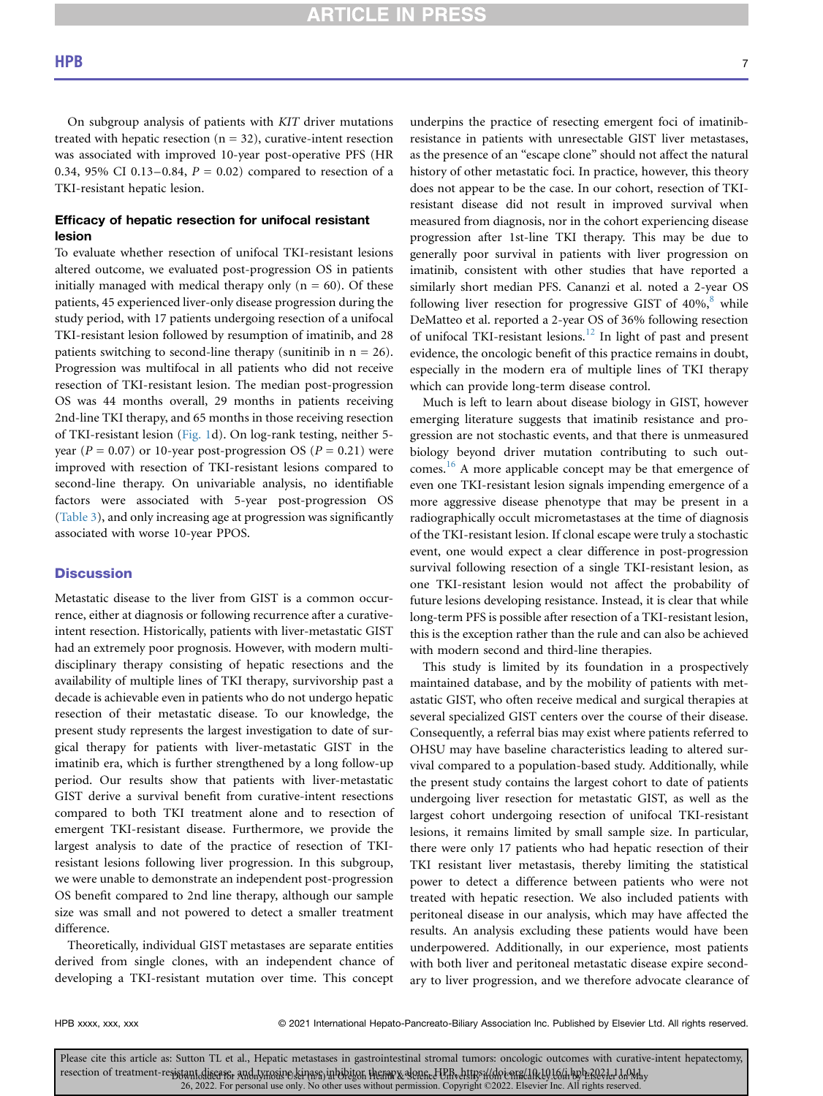On subgroup analysis of patients with KIT driver mutations treated with hepatic resection  $(n = 32)$ , curative-intent resection was associated with improved 10-year post-operative PFS (HR 0.34, 95% CI 0.13-0.84,  $P = 0.02$ ) compared to resection of a TKI-resistant hepatic lesion.

## Efficacy of hepatic resection for unifocal resistant lesion

To evaluate whether resection of unifocal TKI-resistant lesions altered outcome, we evaluated post-progression OS in patients initially managed with medical therapy only  $(n = 60)$ . Of these patients, 45 experienced liver-only disease progression during the study period, with 17 patients undergoing resection of a unifocal TKI-resistant lesion followed by resumption of imatinib, and 28 patients switching to second-line therapy (sunitinib in  $n = 26$ ). Progression was multifocal in all patients who did not receive resection of TKI-resistant lesion. The median post-progression OS was 44 months overall, 29 months in patients receiving 2nd-line TKI therapy, and 65 months in those receiving resection of TKI-resistant lesion ([Fig. 1](#page-4-0)d). On log-rank testing, neither 5 year ( $P = 0.07$ ) or 10-year post-progression OS ( $P = 0.21$ ) were improved with resection of TKI-resistant lesions compared to second-line therapy. On univariable analysis, no identifiable factors were associated with 5-year post-progression OS [\(Table 3](#page-5-1)), and only increasing age at progression was significantly associated with worse 10-year PPOS.

## **Discussion**

Metastatic disease to the liver from GIST is a common occurrence, either at diagnosis or following recurrence after a curativeintent resection. Historically, patients with liver-metastatic GIST had an extremely poor prognosis. However, with modern multidisciplinary therapy consisting of hepatic resections and the availability of multiple lines of TKI therapy, survivorship past a decade is achievable even in patients who do not undergo hepatic resection of their metastatic disease. To our knowledge, the present study represents the largest investigation to date of surgical therapy for patients with liver-metastatic GIST in the imatinib era, which is further strengthened by a long follow-up period. Our results show that patients with liver-metastatic GIST derive a survival benefit from curative-intent resections compared to both TKI treatment alone and to resection of emergent TKI-resistant disease. Furthermore, we provide the largest analysis to date of the practice of resection of TKIresistant lesions following liver progression. In this subgroup, we were unable to demonstrate an independent post-progression OS benefit compared to 2nd line therapy, although our sample size was small and not powered to detect a smaller treatment difference.

Theoretically, individual GIST metastases are separate entities derived from single clones, with an independent chance of developing a TKI-resistant mutation over time. This concept underpins the practice of resecting emergent foci of imatinibresistance in patients with unresectable GIST liver metastases, as the presence of an "escape clone" should not affect the natural history of other metastatic foci. In practice, however, this theory does not appear to be the case. In our cohort, resection of TKIresistant disease did not result in improved survival when measured from diagnosis, nor in the cohort experiencing disease progression after 1st-line TKI therapy. This may be due to generally poor survival in patients with liver progression on imatinib, consistent with other studies that have reported a similarly short median PFS. Cananzi et al. noted a 2-year OS following liver resection for progressive GIST of  $40\%$ <sup>[8](#page-7-11)</sup> while DeMatteo et al. reported a 2-year OS of 36% following resection of unifocal TKI-resistant lesions.<sup>[12](#page-7-7)</sup> In light of past and present evidence, the oncologic benefit of this practice remains in doubt, especially in the modern era of multiple lines of TKI therapy which can provide long-term disease control.

Much is left to learn about disease biology in GIST, however emerging literature suggests that imatinib resistance and progression are not stochastic events, and that there is unmeasured biology beyond driver mutation contributing to such outcomes.<sup>16</sup> A more applicable concept may be that emergence of even one TKI-resistant lesion signals impending emergence of a more aggressive disease phenotype that may be present in a radiographically occult micrometastases at the time of diagnosis of the TKI-resistant lesion. If clonal escape were truly a stochastic event, one would expect a clear difference in post-progression survival following resection of a single TKI-resistant lesion, as one TKI-resistant lesion would not affect the probability of future lesions developing resistance. Instead, it is clear that while long-term PFS is possible after resection of a TKI-resistant lesion, this is the exception rather than the rule and can also be achieved with modern second and third-line therapies.

This study is limited by its foundation in a prospectively maintained database, and by the mobility of patients with metastatic GIST, who often receive medical and surgical therapies at several specialized GIST centers over the course of their disease. Consequently, a referral bias may exist where patients referred to OHSU may have baseline characteristics leading to altered survival compared to a population-based study. Additionally, while the present study contains the largest cohort to date of patients undergoing liver resection for metastatic GIST, as well as the largest cohort undergoing resection of unifocal TKI-resistant lesions, it remains limited by small sample size. In particular, there were only 17 patients who had hepatic resection of their TKI resistant liver metastasis, thereby limiting the statistical power to detect a difference between patients who were not treated with hepatic resection. We also included patients with peritoneal disease in our analysis, which may have affected the results. An analysis excluding these patients would have been underpowered. Additionally, in our experience, most patients with both liver and peritoneal metastatic disease expire secondary to liver progression, and we therefore advocate clearance of

HPB xxxx, xxx, xxx 
reserved. 
© 2021 International Hepato-Pancreato-Biliary Association Inc. Published by Elsevier Ltd. All rights reserved.

Please cite this article as: Sutton TL et al., Hepatic metastases in gastrointestinal stromal tumors: oncologic outcomes with curative-intent hepatectomy, resection of treatment-resistant diseaser and tynosive seivase in bibiton themar & denene tell of the district in public enracted be being by befolded on the 26, 2022. For personal use only. No other uses without permission. Copyright ©2022. Elsevier Inc. All rights reserved.